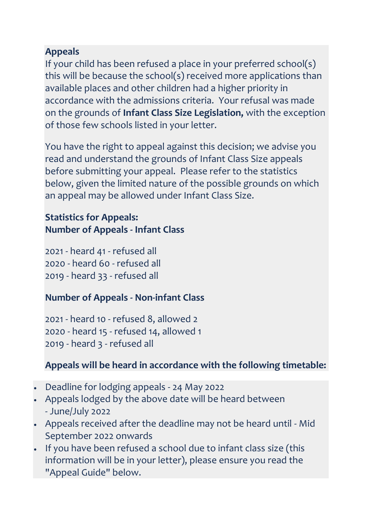## **Appeals**

If your child has been refused a place in your preferred school(s) this will be because the school(s) received more applications than available places and other children had a higher priority in accordance with the admissions criteria. Your refusal was made on the grounds of **Infant Class Size Legislation,** with the exception of those few schools listed in your letter.

You have the right to appeal against this decision; we advise you read and understand the grounds of Infant Class Size appeals before submitting your appeal. Please refer to the statistics below, given the limited nature of the possible grounds on which an appeal may be allowed under Infant Class Size.

## **Statistics for Appeals: Number of Appeals - Infant Class**

2021 - heard 41 - refused all 2020 - heard 60 - refused all 2019 - heard 33 - refused all

## **Number of Appeals - Non-infant Class**

2021 - heard 10 - refused 8, allowed 2 2020 - heard 15 - refused 14, allowed 1 2019 - heard 3 - refused all

## **Appeals will be heard in accordance with the following timetable:**

- Deadline for lodging appeals 24 May 2022
- Appeals lodged by the above date will be heard between - June/July 2022
- Appeals received after the deadline may not be heard until Mid September 2022 onwards
- If you have been refused a school due to infant class size (this information will be in your letter), please ensure you read the "Appeal Guide" below.